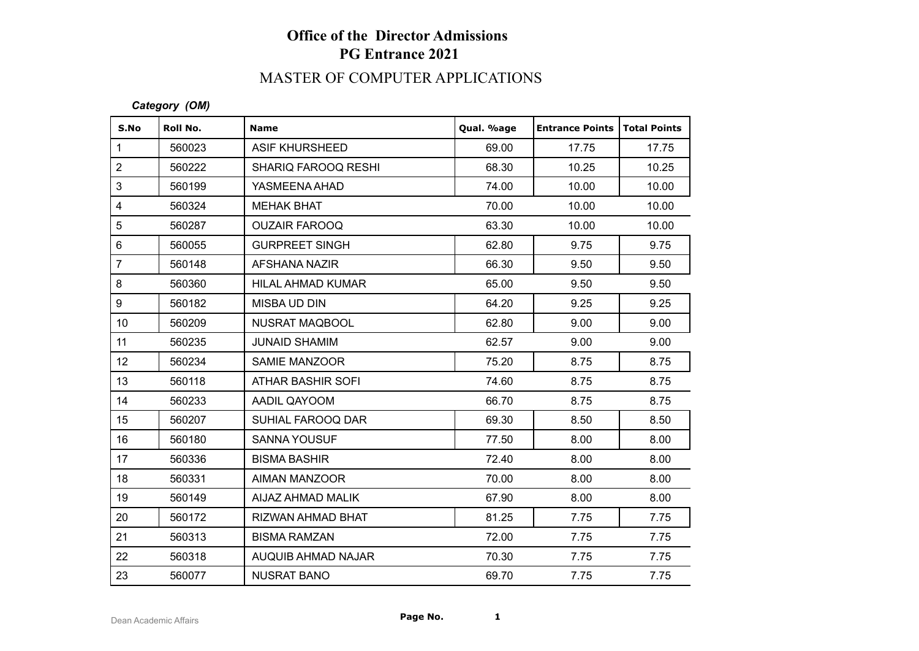# **Office of the Director Admissions PG Entrance 2021**

## MASTER OF COMPUTER APPLICATIONS

#### *Category (OM)*

| S.No             | Roll No. | <b>Name</b>                | Qual. %age | <b>Entrance Points</b> | <b>Total Points</b> |
|------------------|----------|----------------------------|------------|------------------------|---------------------|
| $\mathbf{1}$     | 560023   | <b>ASIF KHURSHEED</b>      | 69.00      | 17.75                  | 17.75               |
| $\sqrt{2}$       | 560222   | <b>SHARIQ FAROOQ RESHI</b> | 68.30      | 10.25                  | 10.25               |
| $\mathfrak{S}$   | 560199   | YASMEENA AHAD              | 74.00      | 10.00                  | 10.00               |
| $\overline{4}$   | 560324   | <b>MEHAK BHAT</b>          | 70.00      | 10.00                  | 10.00               |
| $\overline{5}$   | 560287   | <b>OUZAIR FAROOQ</b>       | 63.30      | 10.00                  | 10.00               |
| $\,6\,$          | 560055   | <b>GURPREET SINGH</b>      | 62.80      | 9.75                   | 9.75                |
| $\overline{7}$   | 560148   | AFSHANA NAZIR              | 66.30      | 9.50                   | 9.50                |
| $\bf 8$          | 560360   | HILAL AHMAD KUMAR          | 65.00      | 9.50                   | 9.50                |
| $\boldsymbol{9}$ | 560182   | MISBA UD DIN               | 64.20      | 9.25                   | 9.25                |
| 10 <sup>1</sup>  | 560209   | <b>NUSRAT MAQBOOL</b>      | 62.80      | 9.00                   | 9.00                |
| 11               | 560235   | <b>JUNAID SHAMIM</b>       | 62.57      | 9.00                   | 9.00                |
| 12               | 560234   | SAMIE MANZOOR              | 75.20      | 8.75                   | 8.75                |
| 13               | 560118   | <b>ATHAR BASHIR SOFI</b>   | 74.60      | 8.75                   | 8.75                |
| 14               | 560233   | AADIL QAYOOM               | 66.70      | 8.75                   | 8.75                |
| 15               | 560207   | SUHIAL FAROOQ DAR          | 69.30      | 8.50                   | 8.50                |
| 16               | 560180   | <b>SANNA YOUSUF</b>        | 77.50      | 8.00                   | 8.00                |
| 17               | 560336   | <b>BISMA BASHIR</b>        | 72.40      | 8.00                   | 8.00                |
| 18               | 560331   | AIMAN MANZOOR              | 70.00      | 8.00                   | 8.00                |
| 19               | 560149   | AIJAZ AHMAD MALIK          | 67.90      | 8.00                   | 8.00                |
| 20               | 560172   | RIZWAN AHMAD BHAT          | 81.25      | 7.75                   | 7.75                |
| 21               | 560313   | <b>BISMA RAMZAN</b>        | 72.00      | 7.75                   | 7.75                |
| 22               | 560318   | <b>AUQUIB AHMAD NAJAR</b>  | 70.30      | 7.75                   | 7.75                |
| 23               | 560077   | <b>NUSRAT BANO</b>         | 69.70      | 7.75                   | 7.75                |